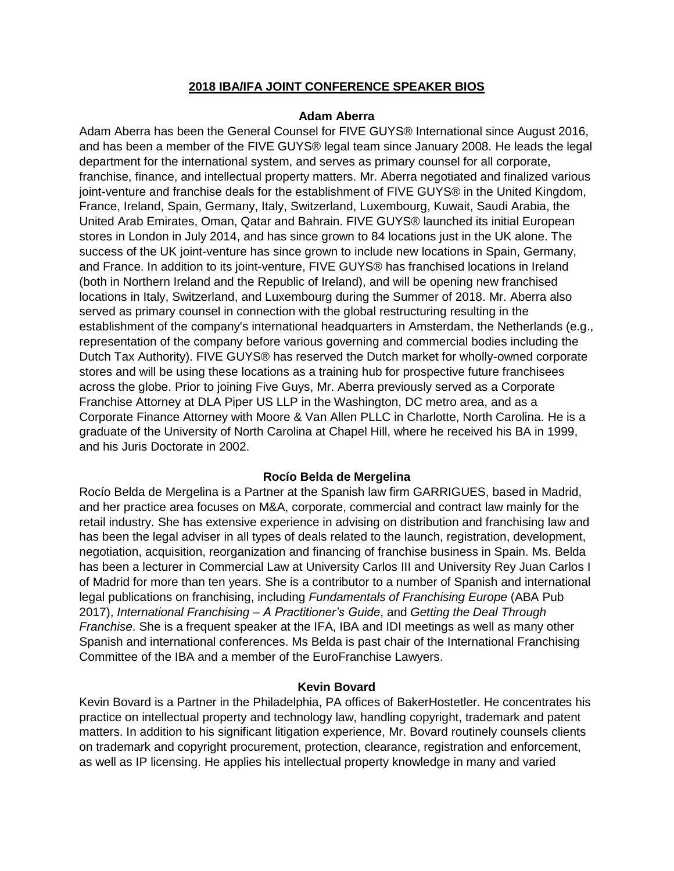# **2018 IBA/IFA JOINT CONFERENCE SPEAKER BIOS**

### **Adam Aberra**

Adam Aberra has been the General Counsel for FIVE GUYS® International since August 2016, and has been a member of the FIVE GUYS® legal team since January 2008. He leads the legal department for the international system, and serves as primary counsel for all corporate, franchise, finance, and intellectual property matters. Mr. Aberra negotiated and finalized various joint-venture and franchise deals for the establishment of FIVE GUYS® in the United Kingdom, France, Ireland, Spain, Germany, Italy, Switzerland, Luxembourg, Kuwait, Saudi Arabia, the United Arab Emirates, Oman, Qatar and Bahrain. FIVE GUYS® launched its initial European stores in London in July 2014, and has since grown to 84 locations just in the UK alone. The success of the UK joint-venture has since grown to include new locations in Spain, Germany, and France. In addition to its joint-venture, FIVE GUYS® has franchised locations in Ireland (both in Northern Ireland and the Republic of Ireland), and will be opening new franchised locations in Italy, Switzerland, and Luxembourg during the Summer of 2018. Mr. Aberra also served as primary counsel in connection with the global restructuring resulting in the establishment of the company's international headquarters in Amsterdam, the Netherlands (e.g., representation of the company before various governing and commercial bodies including the Dutch Tax Authority). FIVE GUYS® has reserved the Dutch market for wholly-owned corporate stores and will be using these locations as a training hub for prospective future franchisees across the globe. Prior to joining Five Guys, Mr. Aberra previously served as a Corporate Franchise Attorney at DLA Piper US LLP in the Washington, DC metro area, and as a Corporate Finance Attorney with Moore & Van Allen PLLC in Charlotte, North Carolina. He is a graduate of the University of North Carolina at Chapel Hill, where he received his BA in 1999, and his Juris Doctorate in 2002.

# **Rocío Belda de Mergelina**

Rocío Belda de Mergelina is a Partner at the Spanish law firm GARRIGUES, based in Madrid, and her practice area focuses on M&A, corporate, commercial and contract law mainly for the retail industry. She has extensive experience in advising on distribution and franchising law and has been the legal adviser in all types of deals related to the launch, registration, development, negotiation, acquisition, reorganization and financing of franchise business in Spain. Ms. Belda has been a lecturer in Commercial Law at University Carlos III and University Rey Juan Carlos I of Madrid for more than ten years. She is a contributor to a number of Spanish and international legal publications on franchising, including *Fundamentals of Franchising Europe* (ABA Pub 2017), *International Franchising – A Practitioner's Guide*, and *Getting the Deal Through Franchise*. She is a frequent speaker at the IFA, IBA and IDI meetings as well as many other Spanish and international conferences. Ms Belda is past chair of the International Franchising Committee of the IBA and a member of the EuroFranchise Lawyers.

# **Kevin Bovard**

Kevin Bovard is a Partner in the Philadelphia, PA offices of BakerHostetler. He concentrates his practice on intellectual property and technology law, handling copyright, trademark and patent matters. In addition to his significant litigation experience, Mr. Bovard routinely counsels clients on trademark and copyright procurement, protection, clearance, registration and enforcement, as well as IP licensing. He applies his intellectual property knowledge in many and varied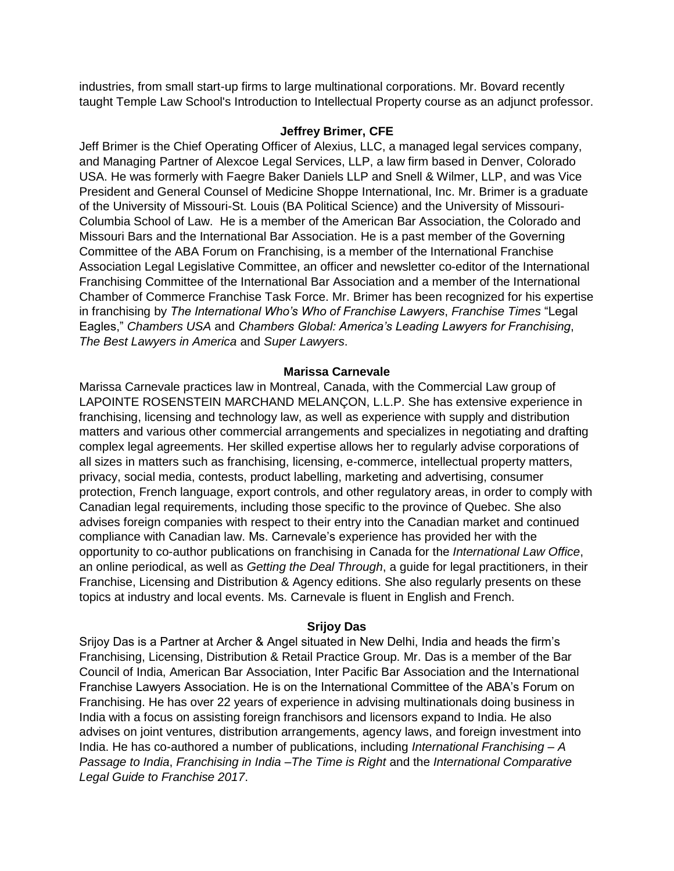industries, from small start-up firms to large multinational corporations. Mr. Bovard recently taught Temple Law School's Introduction to Intellectual Property course as an adjunct professor.

### **Jeffrey Brimer, CFE**

Jeff Brimer is the Chief Operating Officer of Alexius, LLC, a managed legal services company, and Managing Partner of Alexcoe Legal Services, LLP, a law firm based in Denver, Colorado USA. He was formerly with Faegre Baker Daniels LLP and Snell & Wilmer, LLP, and was Vice President and General Counsel of Medicine Shoppe International, Inc. Mr. Brimer is a graduate of the University of Missouri-St. Louis (BA Political Science) and the University of Missouri-Columbia School of Law. He is a member of the American Bar Association, the Colorado and Missouri Bars and the International Bar Association. He is a past member of the Governing Committee of the ABA Forum on Franchising, is a member of the International Franchise Association Legal Legislative Committee, an officer and newsletter co-editor of the International Franchising Committee of the International Bar Association and a member of the International Chamber of Commerce Franchise Task Force. Mr. Brimer has been recognized for his expertise in franchising by *The International Who's Who of Franchise Lawyers*, *Franchise Times* "Legal Eagles," *Chambers USA* and *Chambers Global: America's Leading Lawyers for Franchising*, *The Best Lawyers in America* and *Super Lawyers*.

# **Marissa Carnevale**

Marissa Carnevale practices law in Montreal, Canada, with the Commercial Law group of LAPOINTE ROSENSTEIN MARCHAND MELANÇON, L.L.P. She has extensive experience in franchising, licensing and technology law, as well as experience with supply and distribution matters and various other commercial arrangements and specializes in negotiating and drafting complex legal agreements. Her skilled expertise allows her to regularly advise corporations of all sizes in matters such as franchising, licensing, e-commerce, intellectual property matters, privacy, social media, contests, product labelling, marketing and advertising, consumer protection, French language, export controls, and other regulatory areas, in order to comply with Canadian legal requirements, including those specific to the province of Quebec. She also advises foreign companies with respect to their entry into the Canadian market and continued compliance with Canadian law. Ms. Carnevale's experience has provided her with the opportunity to co-author publications on franchising in Canada for the *International Law Office*, an online periodical, as well as *Getting the Deal Through*, a guide for legal practitioners, in their Franchise, Licensing and Distribution & Agency editions. She also regularly presents on these topics at industry and local events. Ms. Carnevale is fluent in English and French.

#### **Srijoy Das**

Srijoy Das is a Partner at Archer & Angel situated in New Delhi, India and heads the firm's Franchising, Licensing, Distribution & Retail Practice Group. Mr. Das is a member of the Bar Council of India, American Bar Association, Inter Pacific Bar Association and the International Franchise Lawyers Association. He is on the International Committee of the ABA's Forum on Franchising. He has over 22 years of experience in advising multinationals doing business in India with a focus on assisting foreign franchisors and licensors expand to India. He also advises on joint ventures, distribution arrangements, agency laws, and foreign investment into India. He has co-authored a number of publications, including *International Franchising – A Passage to India*, *Franchising in India –The Time is Right* and the *International Comparative Legal Guide to Franchise 2017*.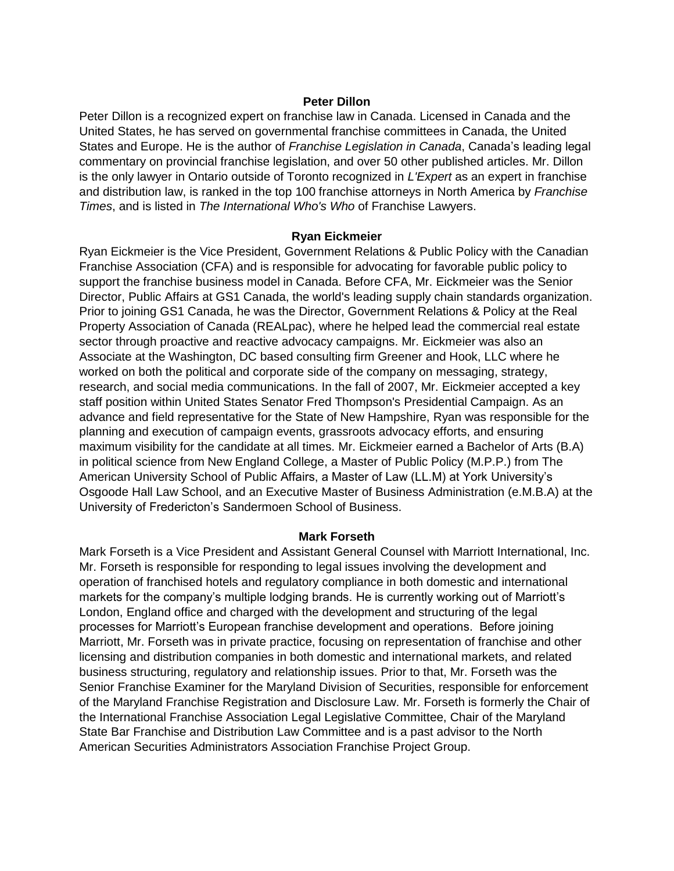### **Peter Dillon**

Peter Dillon is a recognized expert on franchise law in Canada. Licensed in Canada and the United States, he has served on governmental franchise committees in Canada, the United States and Europe. He is the author of *Franchise Legislation in Canada*, Canada's leading legal commentary on provincial franchise legislation, and over 50 other published articles. Mr. Dillon is the only lawyer in Ontario outside of Toronto recognized in *L'Expert* as an expert in franchise and distribution law, is ranked in the top 100 franchise attorneys in North America by *Franchise Times*, and is listed in *The International Who's Who* of Franchise Lawyers.

#### **Ryan Eickmeier**

Ryan Eickmeier is the Vice President, Government Relations & Public Policy with the Canadian Franchise Association (CFA) and is responsible for advocating for favorable public policy to support the franchise business model in Canada. Before CFA, Mr. Eickmeier was the Senior Director, Public Affairs at GS1 Canada, the world's leading supply chain standards organization. Prior to joining GS1 Canada, he was the Director, Government Relations & Policy at the Real Property Association of Canada (REALpac), where he helped lead the commercial real estate sector through proactive and reactive advocacy campaigns. Mr. Eickmeier was also an Associate at the Washington, DC based consulting firm Greener and Hook, LLC where he worked on both the political and corporate side of the company on messaging, strategy, research, and social media communications. In the fall of 2007, Mr. Eickmeier accepted a key staff position within United States Senator Fred Thompson's Presidential Campaign. As an advance and field representative for the State of New Hampshire, Ryan was responsible for the planning and execution of campaign events, grassroots advocacy efforts, and ensuring maximum visibility for the candidate at all times. Mr. Eickmeier earned a Bachelor of Arts (B.A) in political science from New England College, a Master of Public Policy (M.P.P.) from The American University School of Public Affairs, a Master of Law (LL.M) at York University's Osgoode Hall Law School, and an Executive Master of Business Administration (e.M.B.A) at the University of Fredericton's Sandermoen School of Business.

#### **Mark Forseth**

Mark Forseth is a Vice President and Assistant General Counsel with Marriott International, Inc. Mr. Forseth is responsible for responding to legal issues involving the development and operation of franchised hotels and regulatory compliance in both domestic and international markets for the company's multiple lodging brands. He is currently working out of Marriott's London, England office and charged with the development and structuring of the legal processes for Marriott's European franchise development and operations. Before joining Marriott, Mr. Forseth was in private practice, focusing on representation of franchise and other licensing and distribution companies in both domestic and international markets, and related business structuring, regulatory and relationship issues. Prior to that, Mr. Forseth was the Senior Franchise Examiner for the Maryland Division of Securities, responsible for enforcement of the Maryland Franchise Registration and Disclosure Law. Mr. Forseth is formerly the Chair of the International Franchise Association Legal Legislative Committee, Chair of the Maryland State Bar Franchise and Distribution Law Committee and is a past advisor to the North American Securities Administrators Association Franchise Project Group.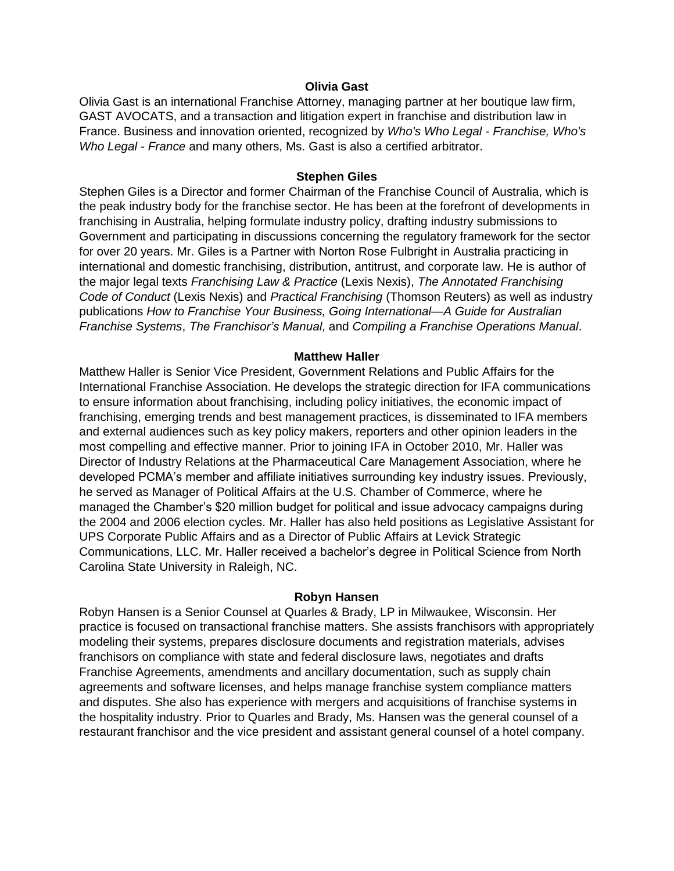### **Olivia Gast**

Olivia Gast is an international Franchise Attorney, managing partner at her boutique law firm, GAST AVOCATS, and a transaction and litigation expert in franchise and distribution law in France. Business and innovation oriented, recognized by *Who's Who Legal - Franchise, Who's Who Legal - France* and many others, Ms. Gast is also a certified arbitrator.

#### **Stephen Giles**

Stephen Giles is a Director and former Chairman of the Franchise Council of Australia, which is the peak industry body for the franchise sector. He has been at the forefront of developments in franchising in Australia, helping formulate industry policy, drafting industry submissions to Government and participating in discussions concerning the regulatory framework for the sector for over 20 years. Mr. Giles is a Partner with Norton Rose Fulbright in Australia practicing in international and domestic franchising, distribution, antitrust, and corporate law. He is author of the major legal texts *Franchising Law & Practice* (Lexis Nexis), *The Annotated Franchising Code of Conduct* (Lexis Nexis) and *Practical Franchising* (Thomson Reuters) as well as industry publications *How to Franchise Your Business, Going International—A Guide for Australian Franchise Systems*, *The Franchisor's Manual*, and *Compiling a Franchise Operations Manual*.

### **Matthew Haller**

Matthew Haller is Senior Vice President, Government Relations and Public Affairs for the International Franchise Association. He develops the strategic direction for IFA communications to ensure information about franchising, including policy initiatives, the economic impact of franchising, emerging trends and best management practices, is disseminated to IFA members and external audiences such as key policy makers, reporters and other opinion leaders in the most compelling and effective manner. Prior to joining IFA in October 2010, Mr. Haller was Director of Industry Relations at the Pharmaceutical Care Management Association, where he developed PCMA's member and affiliate initiatives surrounding key industry issues. Previously, he served as Manager of Political Affairs at the U.S. Chamber of Commerce, where he managed the Chamber's \$20 million budget for political and issue advocacy campaigns during the 2004 and 2006 election cycles. Mr. Haller has also held positions as Legislative Assistant for UPS Corporate Public Affairs and as a Director of Public Affairs at Levick Strategic Communications, LLC. Mr. Haller received a bachelor's degree in Political Science from North Carolina State University in Raleigh, NC.

#### **Robyn Hansen**

Robyn Hansen is a Senior Counsel at Quarles & Brady, LP in Milwaukee, Wisconsin. Her practice is focused on transactional franchise matters. She assists franchisors with appropriately modeling their systems, prepares disclosure documents and registration materials, advises franchisors on compliance with state and federal disclosure laws, negotiates and drafts Franchise Agreements, amendments and ancillary documentation, such as supply chain agreements and software licenses, and helps manage franchise system compliance matters and disputes. She also has experience with mergers and acquisitions of franchise systems in the hospitality industry. Prior to Quarles and Brady, Ms. Hansen was the general counsel of a restaurant franchisor and the vice president and assistant general counsel of a hotel company.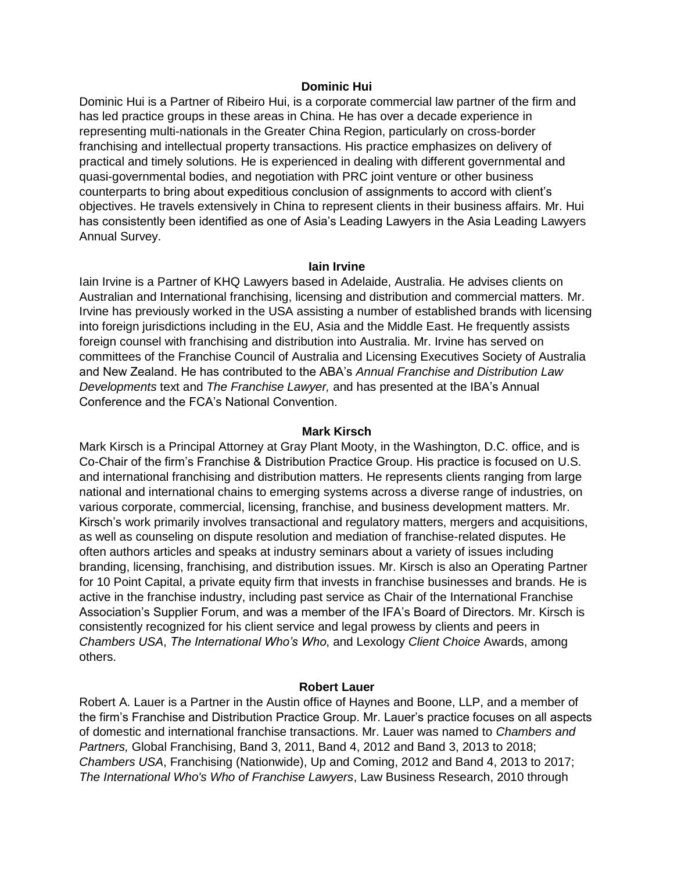### **Dominic Hui**

Dominic Hui is a Partner of Ribeiro Hui, is a corporate commercial law partner of the firm and has led practice groups in these areas in China. He has over a decade experience in representing multi-nationals in the Greater China Region, particularly on cross-border franchising and intellectual property transactions. His practice emphasizes on delivery of practical and timely solutions. He is experienced in dealing with different governmental and quasi-governmental bodies, and negotiation with PRC joint venture or other business counterparts to bring about expeditious conclusion of assignments to accord with client's objectives. He travels extensively in China to represent clients in their business affairs. Mr. Hui has consistently been identified as one of Asia's Leading Lawyers in the Asia Leading Lawyers Annual Survey.

# **Iain Irvine**

Iain Irvine is a Partner of KHQ Lawyers based in Adelaide, Australia. He advises clients on Australian and International franchising, licensing and distribution and commercial matters. Mr. Irvine has previously worked in the USA assisting a number of established brands with licensing into foreign jurisdictions including in the EU, Asia and the Middle East. He frequently assists foreign counsel with franchising and distribution into Australia. Mr. Irvine has served on committees of the Franchise Council of Australia and Licensing Executives Society of Australia and New Zealand. He has contributed to the ABA's *Annual Franchise and Distribution Law Developments* text and *The Franchise Lawyer,* and has presented at the IBA's Annual Conference and the FCA's National Convention.

#### **Mark Kirsch**

Mark Kirsch is a Principal Attorney at Gray Plant Mooty, in the Washington, D.C. office, and is Co-Chair of the firm's Franchise & Distribution Practice Group. His practice is focused on U.S. and international franchising and distribution matters. He represents clients ranging from large national and international chains to emerging systems across a diverse range of industries, on various corporate, commercial, licensing, franchise, and business development matters. Mr. Kirsch's work primarily involves transactional and regulatory matters, mergers and acquisitions, as well as counseling on dispute resolution and mediation of franchise-related disputes. He often authors articles and speaks at industry seminars about a variety of issues including branding, licensing, franchising, and distribution issues. Mr. Kirsch is also an Operating Partner for 10 Point Capital, a private equity firm that invests in franchise businesses and brands. He is active in the franchise industry, including past service as Chair of the International Franchise Association's Supplier Forum, and was a member of the IFA's Board of Directors. Mr. Kirsch is consistently recognized for his client service and legal prowess by clients and peers in *Chambers USA*, *The International Who's Who*, and Lexology *Client Choice* Awards, among others.

# **Robert Lauer**

Robert A. Lauer is a Partner in the Austin office of Haynes and Boone, LLP, and a member of the firm's Franchise and Distribution Practice Group. Mr. Lauer's practice focuses on all aspects of domestic and international franchise transactions. Mr. Lauer was named to *Chambers and Partners,* Global Franchising, Band 3, 2011, Band 4, 2012 and Band 3, 2013 to 2018; *Chambers USA*, Franchising (Nationwide), Up and Coming, 2012 and Band 4, 2013 to 2017; *The International Who's Who of Franchise Lawyers*, Law Business Research, 2010 through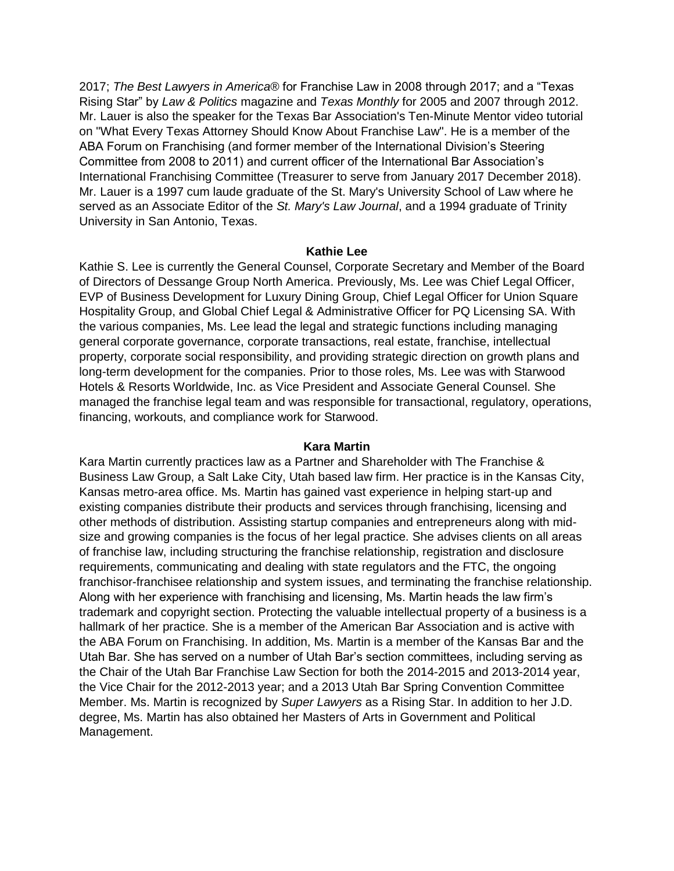2017; *The Best Lawyers in America®* for Franchise Law in 2008 through 2017; and a "Texas Rising Star" by *Law & Politics* magazine and *Texas Monthly* for 2005 and 2007 through 2012. Mr. Lauer is also the speaker for the Texas Bar Association's Ten-Minute Mentor video tutorial on "What Every Texas Attorney Should Know About Franchise Law". He is a member of the ABA Forum on Franchising (and former member of the International Division's Steering Committee from 2008 to 2011) and current officer of the International Bar Association's International Franchising Committee (Treasurer to serve from January 2017 December 2018). Mr. Lauer is a 1997 cum laude graduate of the St. Mary's University School of Law where he served as an Associate Editor of the *St. Mary's Law Journal*, and a 1994 graduate of Trinity University in San Antonio, Texas.

# **Kathie Lee**

Kathie S. Lee is currently the General Counsel, Corporate Secretary and Member of the Board of Directors of Dessange Group North America. Previously, Ms. Lee was Chief Legal Officer, EVP of Business Development for Luxury Dining Group, Chief Legal Officer for Union Square Hospitality Group, and Global Chief Legal & Administrative Officer for PQ Licensing SA. With the various companies, Ms. Lee lead the legal and strategic functions including managing general corporate governance, corporate transactions, real estate, franchise, intellectual property, corporate social responsibility, and providing strategic direction on growth plans and long-term development for the companies. Prior to those roles, Ms. Lee was with Starwood Hotels & Resorts Worldwide, Inc. as Vice President and Associate General Counsel. She managed the franchise legal team and was responsible for transactional, regulatory, operations, financing, workouts, and compliance work for Starwood.

#### **Kara Martin**

Kara Martin currently practices law as a Partner and Shareholder with The Franchise & Business Law Group, a Salt Lake City, Utah based law firm. Her practice is in the Kansas City, Kansas metro-area office. Ms. Martin has gained vast experience in helping start-up and existing companies distribute their products and services through franchising, licensing and other methods of distribution. Assisting startup companies and entrepreneurs along with midsize and growing companies is the focus of her legal practice. She advises clients on all areas of franchise law, including structuring the franchise relationship, registration and disclosure requirements, communicating and dealing with state regulators and the FTC, the ongoing franchisor-franchisee relationship and system issues, and terminating the franchise relationship. Along with her experience with franchising and licensing, Ms. Martin heads the law firm's trademark and copyright section. Protecting the valuable intellectual property of a business is a hallmark of her practice. She is a member of the American Bar Association and is active with the ABA Forum on Franchising. In addition, Ms. Martin is a member of the Kansas Bar and the Utah Bar. She has served on a number of Utah Bar's section committees, including serving as the Chair of the Utah Bar Franchise Law Section for both the 2014-2015 and 2013-2014 year, the Vice Chair for the 2012-2013 year; and a 2013 Utah Bar Spring Convention Committee Member. Ms. Martin is recognized by *Super Lawyers* as a Rising Star. In addition to her J.D. degree, Ms. Martin has also obtained her Masters of Arts in Government and Political Management.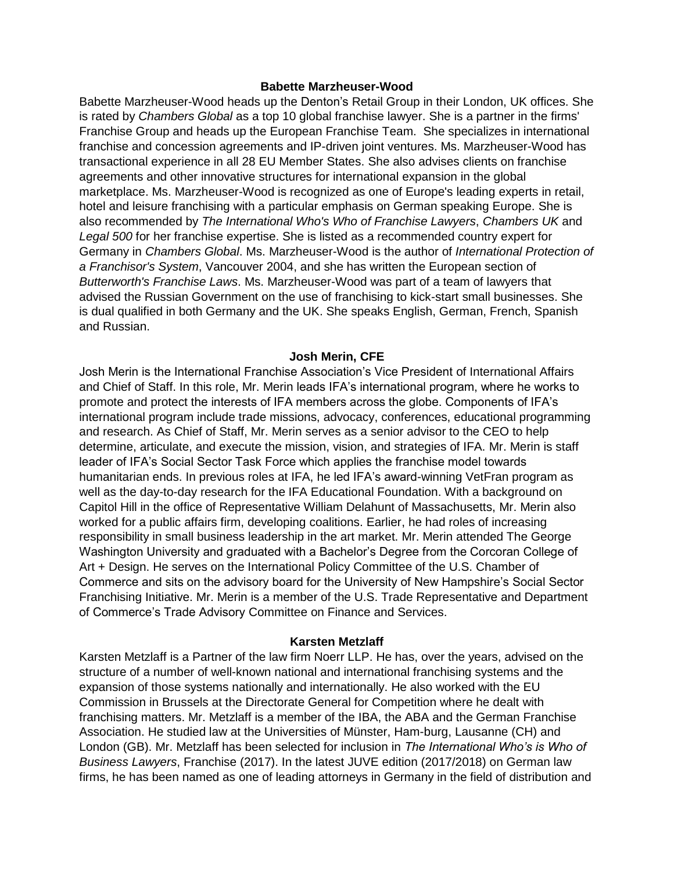### **Babette Marzheuser-Wood**

Babette Marzheuser-Wood heads up the Denton's Retail Group in their London, UK offices. She is rated by *Chambers Global* as a top 10 global franchise lawyer. She is a partner in the firms' Franchise Group and heads up the European Franchise Team. She specializes in international franchise and concession agreements and IP-driven joint ventures. Ms. Marzheuser-Wood has transactional experience in all 28 EU Member States. She also advises clients on franchise agreements and other innovative structures for international expansion in the global marketplace. Ms. Marzheuser-Wood is recognized as one of Europe's leading experts in retail, hotel and leisure franchising with a particular emphasis on German speaking Europe. She is also recommended by *The International Who's Who of Franchise Lawyers*, *Chambers UK* and *Legal 500* for her franchise expertise. She is listed as a recommended country expert for Germany in *Chambers Global*. Ms. Marzheuser-Wood is the author of *International Protection of a Franchisor's System*, Vancouver 2004, and she has written the European section of *Butterworth's Franchise Laws*. Ms. Marzheuser-Wood was part of a team of lawyers that advised the Russian Government on the use of franchising to kick-start small businesses. She is dual qualified in both Germany and the UK. She speaks English, German, French, Spanish and Russian.

### **Josh Merin, CFE**

Josh Merin is the International Franchise Association's Vice President of International Affairs and Chief of Staff. In this role, Mr. Merin leads IFA's international program, where he works to promote and protect the interests of IFA members across the globe. Components of IFA's international program include trade missions, advocacy, conferences, educational programming and research. As Chief of Staff, Mr. Merin serves as a senior advisor to the CEO to help determine, articulate, and execute the mission, vision, and strategies of IFA. Mr. Merin is staff leader of IFA's Social Sector Task Force which applies the franchise model towards humanitarian ends. In previous roles at IFA, he led IFA's award-winning VetFran program as well as the day-to-day research for the IFA Educational Foundation. With a background on Capitol Hill in the office of Representative William Delahunt of Massachusetts, Mr. Merin also worked for a public affairs firm, developing coalitions. Earlier, he had roles of increasing responsibility in small business leadership in the art market. Mr. Merin attended The George Washington University and graduated with a Bachelor's Degree from the Corcoran College of Art + Design. He serves on the International Policy Committee of the U.S. Chamber of Commerce and sits on the advisory board for the University of New Hampshire's Social Sector Franchising Initiative. Mr. Merin is a member of the U.S. Trade Representative and Department of Commerce's Trade Advisory Committee on Finance and Services.

#### **Karsten Metzlaff**

Karsten Metzlaff is a Partner of the law firm Noerr LLP. He has, over the years, advised on the structure of a number of well-known national and international franchising systems and the expansion of those systems nationally and internationally. He also worked with the EU Commission in Brussels at the Directorate General for Competition where he dealt with franchising matters. Mr. Metzlaff is a member of the IBA, the ABA and the German Franchise Association. He studied law at the Universities of Münster, Ham-burg, Lausanne (CH) and London (GB). Mr. Metzlaff has been selected for inclusion in *The International Who's is Who of Business Lawyers*, Franchise (2017). In the latest JUVE edition (2017/2018) on German law firms, he has been named as one of leading attorneys in Germany in the field of distribution and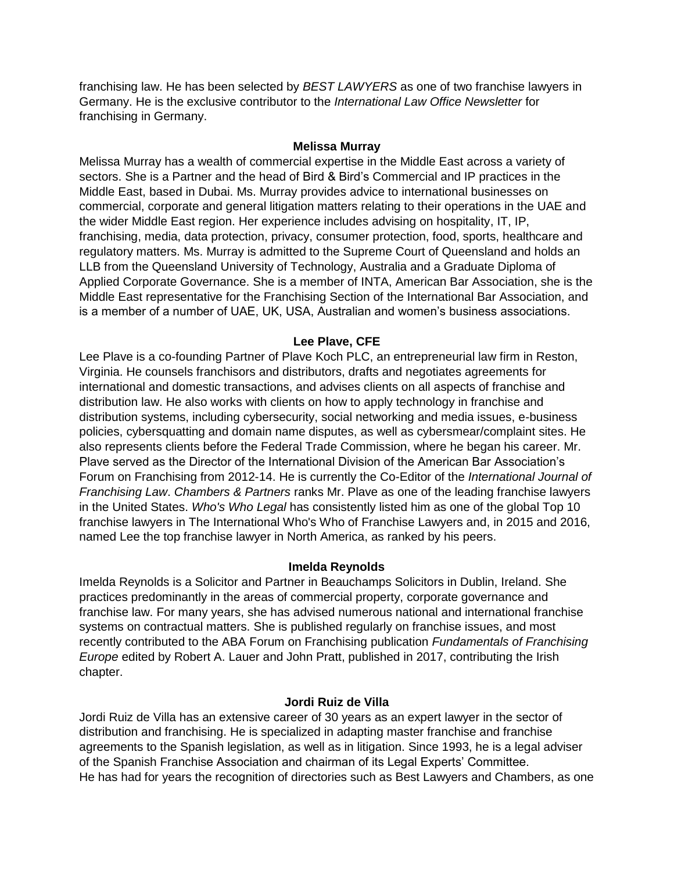franchising law. He has been selected by *BEST LAWYERS* as one of two franchise lawyers in Germany. He is the exclusive contributor to the *International Law Office Newsletter* for franchising in Germany.

# **Melissa Murray**

Melissa Murray has a wealth of commercial expertise in the Middle East across a variety of sectors. She is a Partner and the head of Bird & Bird's Commercial and IP practices in the Middle East, based in Dubai. Ms. Murray provides advice to international businesses on commercial, corporate and general litigation matters relating to their operations in the UAE and the wider Middle East region. Her experience includes advising on hospitality, IT, IP, franchising, media, data protection, privacy, consumer protection, food, sports, healthcare and regulatory matters. Ms. Murray is admitted to the Supreme Court of Queensland and holds an LLB from the Queensland University of Technology, Australia and a Graduate Diploma of Applied Corporate Governance. She is a member of INTA, American Bar Association, she is the Middle East representative for the Franchising Section of the International Bar Association, and is a member of a number of UAE, UK, USA, Australian and women's business associations.

# **Lee Plave, CFE**

Lee Plave is a co-founding Partner of Plave Koch PLC, an entrepreneurial law firm in Reston, Virginia. He counsels franchisors and distributors, drafts and negotiates agreements for international and domestic transactions, and advises clients on all aspects of franchise and distribution law. He also works with clients on how to apply technology in franchise and distribution systems, including cybersecurity, social networking and media issues, e-business policies, cybersquatting and domain name disputes, as well as cybersmear/complaint sites. He also represents clients before the Federal Trade Commission, where he began his career. Mr. Plave served as the Director of the International Division of the American Bar Association's Forum on Franchising from 2012-14. He is currently the Co-Editor of the *International Journal of Franchising Law*. *Chambers & Partners* ranks Mr. Plave as one of the leading franchise lawyers in the United States. *Who's Who Legal* has consistently listed him as one of the global Top 10 franchise lawyers in The International Who's Who of Franchise Lawyers and, in 2015 and 2016, named Lee the top franchise lawyer in North America, as ranked by his peers.

# **Imelda Reynolds**

Imelda Reynolds is a Solicitor and Partner in Beauchamps Solicitors in Dublin, Ireland. She practices predominantly in the areas of commercial property, corporate governance and franchise law. For many years, she has advised numerous national and international franchise systems on contractual matters. She is published regularly on franchise issues, and most recently contributed to the ABA Forum on Franchising publication *Fundamentals of Franchising Europe* edited by Robert A. Lauer and John Pratt, published in 2017, contributing the Irish chapter.

# **Jordi Ruiz de Villa**

Jordi Ruiz de Villa has an extensive career of 30 years as an expert lawyer in the sector of distribution and franchising. He is specialized in adapting master franchise and franchise agreements to the Spanish legislation, as well as in litigation. Since 1993, he is a legal adviser of the Spanish Franchise Association and chairman of its Legal Experts' Committee. He has had for years the recognition of directories such as Best Lawyers and Chambers, as one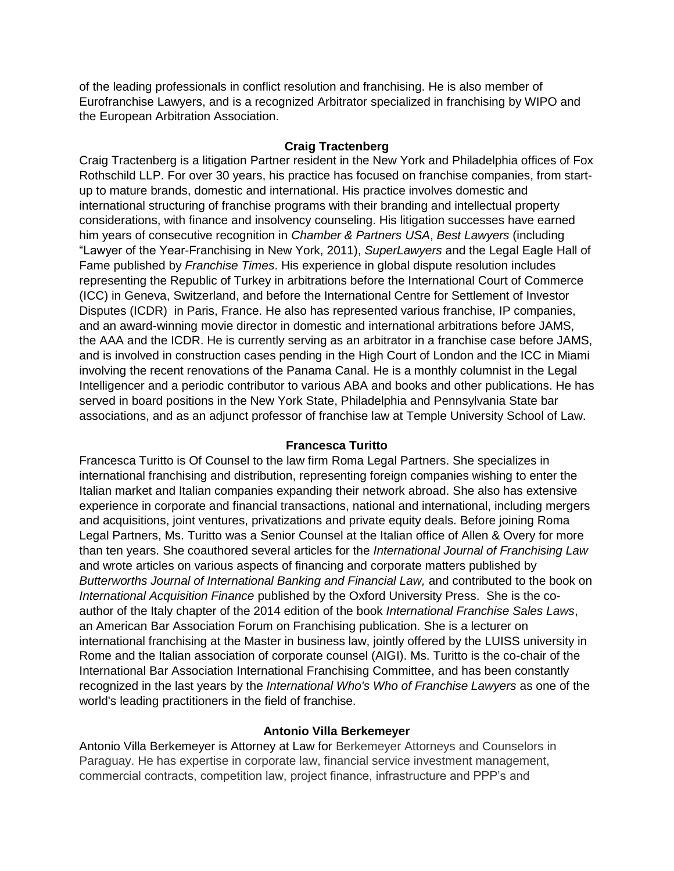of the leading professionals in conflict resolution and franchising. He is also member of Eurofranchise Lawyers, and is a recognized Arbitrator specialized in franchising by WIPO and the European Arbitration Association.

# **Craig Tractenberg**

Craig Tractenberg is a litigation Partner resident in the New York and Philadelphia offices of Fox Rothschild LLP. For over 30 years, his practice has focused on franchise companies, from startup to mature brands, domestic and international. His practice involves domestic and international structuring of franchise programs with their branding and intellectual property considerations, with finance and insolvency counseling. His litigation successes have earned him years of consecutive recognition in *Chamber & Partners USA*, *Best Lawyers* (including "Lawyer of the Year-Franchising in New York, 2011), *SuperLawyers* and the Legal Eagle Hall of Fame published by *Franchise Times*. His experience in global dispute resolution includes representing the Republic of Turkey in arbitrations before the International Court of Commerce (ICC) in Geneva, Switzerland, and before the International Centre for Settlement of Investor Disputes (ICDR) in Paris, France. He also has represented various franchise, IP companies, and an award-winning movie director in domestic and international arbitrations before JAMS, the AAA and the ICDR. He is currently serving as an arbitrator in a franchise case before JAMS, and is involved in construction cases pending in the High Court of London and the ICC in Miami involving the recent renovations of the Panama Canal. He is a monthly columnist in the Legal Intelligencer and a periodic contributor to various ABA and books and other publications. He has served in board positions in the New York State, Philadelphia and Pennsylvania State bar associations, and as an adjunct professor of franchise law at Temple University School of Law.

# **Francesca Turitto**

Francesca Turitto is Of Counsel to the law firm Roma Legal Partners. She specializes in international franchising and distribution, representing foreign companies wishing to enter the Italian market and Italian companies expanding their network abroad. She also has extensive experience in corporate and financial transactions, national and international, including mergers and acquisitions, joint ventures, privatizations and private equity deals. Before joining Roma Legal Partners, Ms. Turitto was a Senior Counsel at the Italian office of Allen & Overy for more than ten years. She coauthored several articles for the *International Journal of Franchising Law* and wrote articles on various aspects of financing and corporate matters published by *Butterworths Journal of International Banking and Financial Law,* and contributed to the book on *International Acquisition Finance* published by the Oxford University Press. She is the coauthor of the Italy chapter of the 2014 edition of the book *International Franchise Sales Laws*, an American Bar Association Forum on Franchising publication. She is a lecturer on international franchising at the Master in business law, jointly offered by the LUISS university in Rome and the Italian association of corporate counsel (AIGI). Ms. Turitto is the co-chair of the International Bar Association International Franchising Committee, and has been constantly recognized in the last years by the *International Who's Who of Franchise Lawyers* as one of the world's leading practitioners in the field of franchise.

# **Antonio Villa Berkemeyer**

Antonio Villa Berkemeyer is Attorney at Law for Berkemeyer Attorneys and Counselors in Paraguay. He has expertise in corporate law, financial service investment management, commercial contracts, competition law, project finance, infrastructure and PPP's and